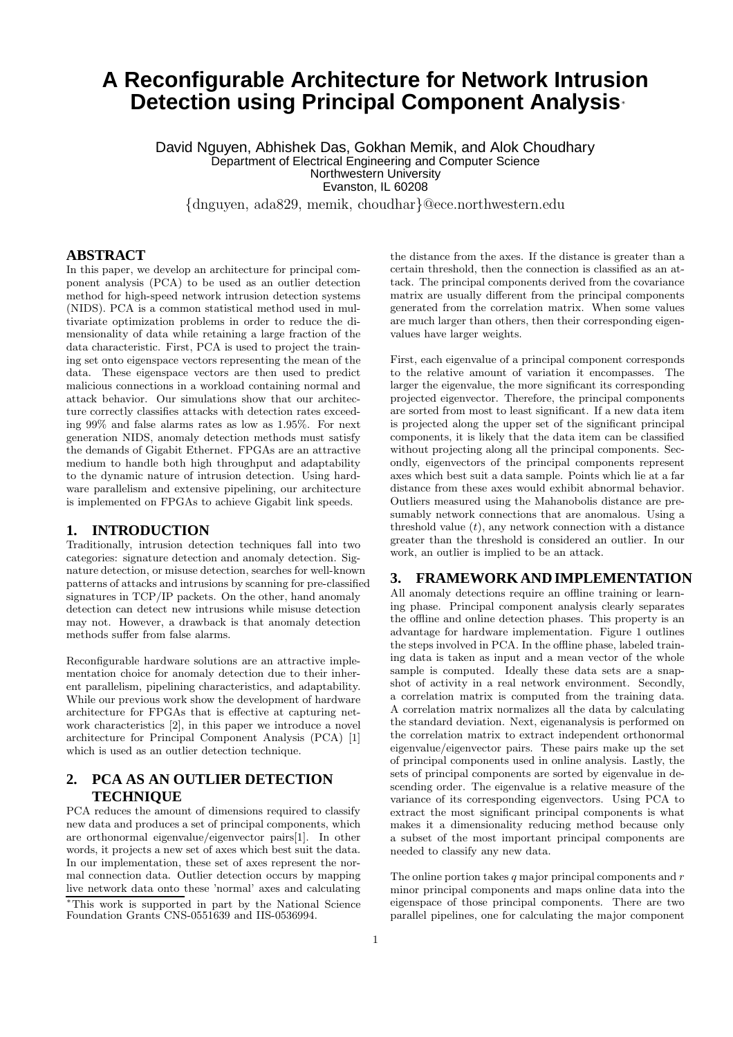# **A Reconfigurable Architecture for Network Intrusion Detection using Principal Component Analysis**<sup>∗</sup>

David Nguyen, Abhishek Das, Gokhan Memik, and Alok Choudhary Department of Electrical Engineering and Computer Science Northwestern University Evanston, IL 60208

{dnguyen, ada829, memik, choudhar}@ece.northwestern.edu

## **ABSTRACT**

In this paper, we develop an architecture for principal component analysis (PCA) to be used as an outlier detection method for high-speed network intrusion detection systems (NIDS). PCA is a common statistical method used in multivariate optimization problems in order to reduce the dimensionality of data while retaining a large fraction of the data characteristic. First, PCA is used to project the training set onto eigenspace vectors representing the mean of the data. These eigenspace vectors are then used to predict malicious connections in a workload containing normal and attack behavior. Our simulations show that our architecture correctly classifies attacks with detection rates exceeding 99% and false alarms rates as low as 1.95%. For next generation NIDS, anomaly detection methods must satisfy the demands of Gigabit Ethernet. FPGAs are an attractive medium to handle both high throughput and adaptability to the dynamic nature of intrusion detection. Using hardware parallelism and extensive pipelining, our architecture is implemented on FPGAs to achieve Gigabit link speeds.

## **1. INTRODUCTION**

Traditionally, intrusion detection techniques fall into two categories: signature detection and anomaly detection. Signature detection, or misuse detection, searches for well-known patterns of attacks and intrusions by scanning for pre-classified signatures in TCP/IP packets. On the other, hand anomaly detection can detect new intrusions while misuse detection may not. However, a drawback is that anomaly detection methods suffer from false alarms.

Reconfigurable hardware solutions are an attractive implementation choice for anomaly detection due to their inherent parallelism, pipelining characteristics, and adaptability. While our previous work show the development of hardware architecture for FPGAs that is effective at capturing network characteristics [2], in this paper we introduce a novel architecture for Principal Component Analysis (PCA) [1] which is used as an outlier detection technique.

# **2. PCA AS AN OUTLIER DETECTION TECHNIQUE**

PCA reduces the amount of dimensions required to classify new data and produces a set of principal components, which are orthonormal eigenvalue/eigenvector pairs[1]. In other words, it projects a new set of axes which best suit the data. In our implementation, these set of axes represent the normal connection data. Outlier detection occurs by mapping live network data onto these 'normal' axes and calculating <sup>∗</sup>This work is supported in part by the National Science Foundation Grants CNS-0551639 and IIS-0536994.

the distance from the axes. If the distance is greater than a certain threshold, then the connection is classified as an attack. The principal components derived from the covariance matrix are usually different from the principal components generated from the correlation matrix. When some values are much larger than others, then their corresponding eigenvalues have larger weights.

First, each eigenvalue of a principal component corresponds to the relative amount of variation it encompasses. The larger the eigenvalue, the more significant its corresponding projected eigenvector. Therefore, the principal components are sorted from most to least significant. If a new data item is projected along the upper set of the significant principal components, it is likely that the data item can be classified without projecting along all the principal components. Secondly, eigenvectors of the principal components represent axes which best suit a data sample. Points which lie at a far distance from these axes would exhibit abnormal behavior. Outliers measured using the Mahanobolis distance are presumably network connections that are anomalous. Using a threshold value  $(t)$ , any network connection with a distance greater than the threshold is considered an outlier. In our work, an outlier is implied to be an attack.

## **3. FRAMEWORKAND IMPLEMENTATION**

All anomaly detections require an offline training or learning phase. Principal component analysis clearly separates the offline and online detection phases. This property is an advantage for hardware implementation. Figure 1 outlines the steps involved in PCA. In the offline phase, labeled training data is taken as input and a mean vector of the whole sample is computed. Ideally these data sets are a snapshot of activity in a real network environment. Secondly, a correlation matrix is computed from the training data. A correlation matrix normalizes all the data by calculating the standard deviation. Next, eigenanalysis is performed on the correlation matrix to extract independent orthonormal eigenvalue/eigenvector pairs. These pairs make up the set of principal components used in online analysis. Lastly, the sets of principal components are sorted by eigenvalue in descending order. The eigenvalue is a relative measure of the variance of its corresponding eigenvectors. Using PCA to extract the most significant principal components is what makes it a dimensionality reducing method because only a subset of the most important principal components are needed to classify any new data.

The online portion takes  $q$  major principal components and  $r$ minor principal components and maps online data into the eigenspace of those principal components. There are two parallel pipelines, one for calculating the major component